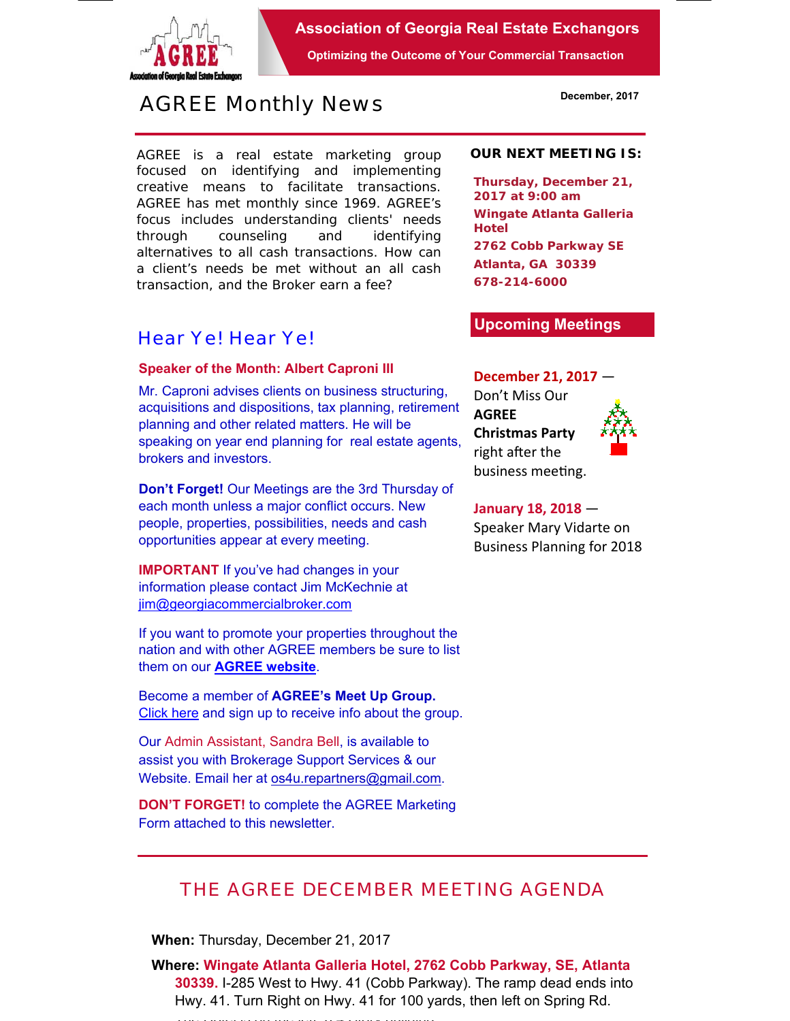

**Association of Georgia Real Estate Exchangors** 

**Optimizing the Outcome of Your Commercial Transaction** 

# *AGREE Monthly News*

AGREE is a real estate marketing group focused on identifying and implementing creative means to facilitate transactions. *AGREE has met monthly since 1969.* AGREE's focus includes understanding clients' needs through counseling and identifying alternatives to all cash transactions. How can a client's needs be met without an all cash transaction, and the Broker earn a fee?

### *Hear Ye! Hear Ye!*

#### **Speaker of the Month: Albert Caproni III**

Mr. Caproni advises clients on business structuring, acquisitions and dispositions, tax planning, retirement planning and other related matters. He will be speaking on year end planning for real estate agents, brokers and investors.

**Don't Forget!** Our Meetings are the 3rd Thursday of each month unless a major conflict occurs. New people, properties, possibilities, needs and cash opportunities appear at every meeting.

**IMPORTANT** If you've had changes in your information please contact Jim McKechnie at iim@georgiacommercialbroker.com

If you want to promote your properties throughout the nation and with other AGREE members be sure to list them on our **AGREE website**.

Become a member of **AGREE's Meet Up Group.**  Click here and sign up to receive info about the group.

Our Admin Assistant, Sandra Bell, is available to assist you with Brokerage Support Services & our Website. Email her at os4u.repartners@gmail.com.

**DON'T FORGET!** to complete the AGREE Marketing Form attached to this newsletter.

#### **OUR NEXT MEETING IS:**

**Thursday, December 21, 2017 at 9:00 am Wingate Atlanta Galleria Hotel 2762 Cobb Parkway SE Atlanta, GA 30339 678-214-6000** 

#### **Upcoming Meetings**

#### **December 21, 2017** —

Don't Miss Our **AGREE Christmas Party**  right after the business meeting.



### **January 18, 2018** — Speaker Mary Vidarte on

Business Planning for 2018

## *THE AGREE DECEMBER MEETING AGENDA*

**When:** Thursday, December 21, 2017

**Where: Wingate Atlanta Galleria Hotel, 2762 Cobb Parkway, SE, Atlanta 30339.** I-285 West to Hwy. 41 (Cobb Parkway). The ramp dead ends into Hwy. 41. Turn Right on Hwy. 41 for 100 yards, then left on Spring Rd.

The Hotel is on the left and the left and the left a 4 Story building a 4 Story building a 4 Story building and the left and the left and the left and the left and the left and the left and the left and the left and the le

**December, 2017**